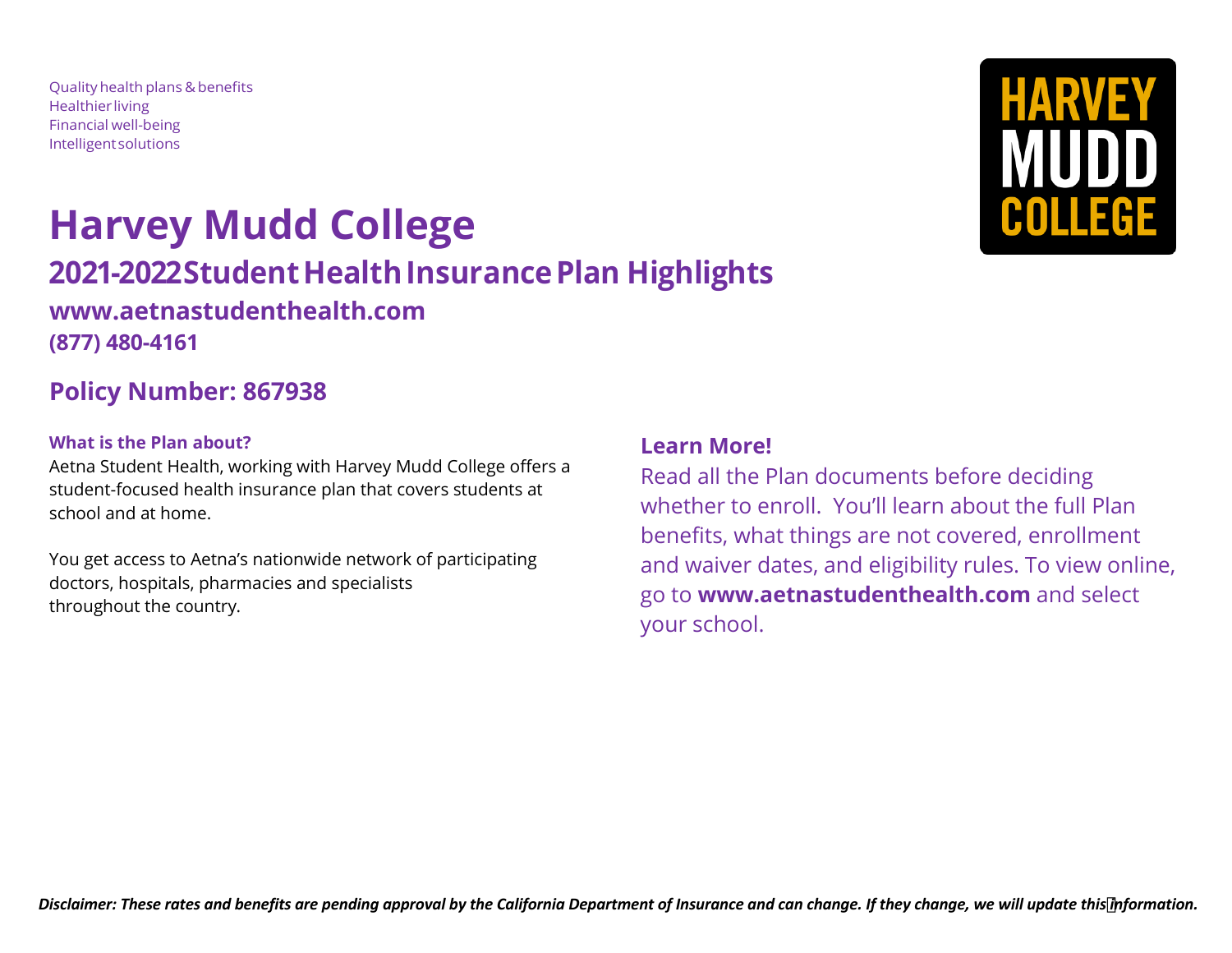Qualityhealth plans & benefits **Healthier living** Financial well-being Intelligentsolutions

# **Harvey Mudd College 2021-2022 Student Health Insurance Plan Highlights [www.aetnastudenthealth.com](http://www.aetnastudenthealth.com/) (877) 480-4161**

## **Policy Number: 867938**

## **What is the Plan about?**

Aetna Student Health, working with Harvey Mudd College offers a student-focused health insurance plan that covers students at school and at home.

You get access to Aetna's nationwide network of participating doctors, hospitals, pharmacies and specialists throughout the country.

## **Learn More!**

Read all the Plan documents before deciding whether to enroll. You'll learn about the full Plan benefits, what things are not covered, enrollment and waiver dates, and eligibility rules. To view online, go to **www.aetnastudenthealth.com** and select your school.

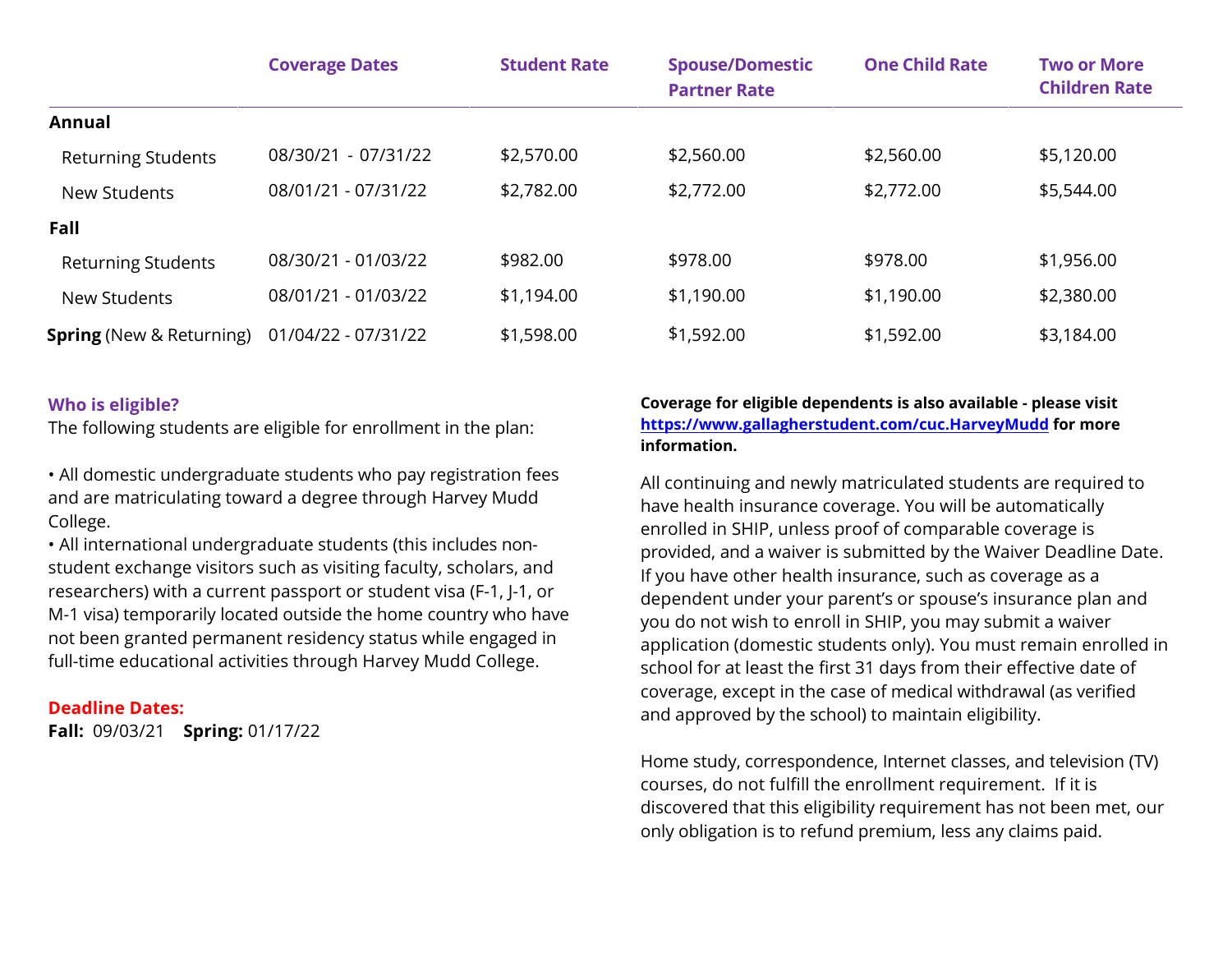|                                 | <b>Coverage Dates</b> | <b>Student Rate</b> | <b>Spouse/Domestic</b><br><b>Partner Rate</b> | <b>One Child Rate</b> | <b>Two or More</b><br><b>Children Rate</b> |
|---------------------------------|-----------------------|---------------------|-----------------------------------------------|-----------------------|--------------------------------------------|
| Annual                          |                       |                     |                                               |                       |                                            |
| <b>Returning Students</b>       | 08/30/21 - 07/31/22   | \$2,570.00          | \$2,560.00                                    | \$2,560.00            | \$5,120.00                                 |
| New Students                    | 08/01/21 - 07/31/22   | \$2,782.00          | \$2,772.00                                    | \$2,772.00            | \$5,544.00                                 |
| Fall                            |                       |                     |                                               |                       |                                            |
| <b>Returning Students</b>       | 08/30/21 - 01/03/22   | \$982.00            | \$978.00                                      | \$978.00              | \$1,956.00                                 |
| New Students                    | 08/01/21 - 01/03/22   | \$1,194.00          | \$1,190.00                                    | \$1,190.00            | \$2,380.00                                 |
| <b>Spring</b> (New & Returning) | 01/04/22 - 07/31/22   | \$1,598.00          | \$1,592.00                                    | \$1,592.00            | \$3,184.00                                 |

## **Who is eligible?**

The following students are eligible for enrollment in the plan:

• All domestic undergraduate students who pay registration fees and are matriculating toward a degree through Harvey Mudd College.

• All international undergraduate students (this includes nonstudent exchange visitors such as visiting faculty, scholars, and researchers) with a current passport or student visa (F-1, J-1, or M-1 visa) temporarily located outside the home country who have not been granted permanent residency status while engaged in full-time educational activities through Harvey Mudd College.

## **Deadline Dates:**

**Fall:** 09/03/21 **Spring:** 01/17/22

#### **Coverage for eligible dependents is also available - please visit <https://www.gallagherstudent.com/cuc.HarveyMudd>for more information.**

All continuing and newly matriculated students are required to have health insurance coverage. You will be automatically enrolled in SHIP, unless proof of comparable coverage is provided, and a waiver is submitted by the Waiver Deadline Date. If you have other health insurance, such as coverage as a dependent under your parent's or spouse's insurance plan and you do not wish to enroll in SHIP, you may submit a waiver application (domestic students only). You must remain enrolled in school for at least the first 31 days from their effective date of coverage, except in the case of medical withdrawal (as verified and approved by the school) to maintain eligibility.

Home study, correspondence, Internet classes, and television (TV) courses, do not fulfill the enrollment requirement. If it is discovered that this eligibility requirement has not been met, our only obligation is to refund premium, less any claims paid.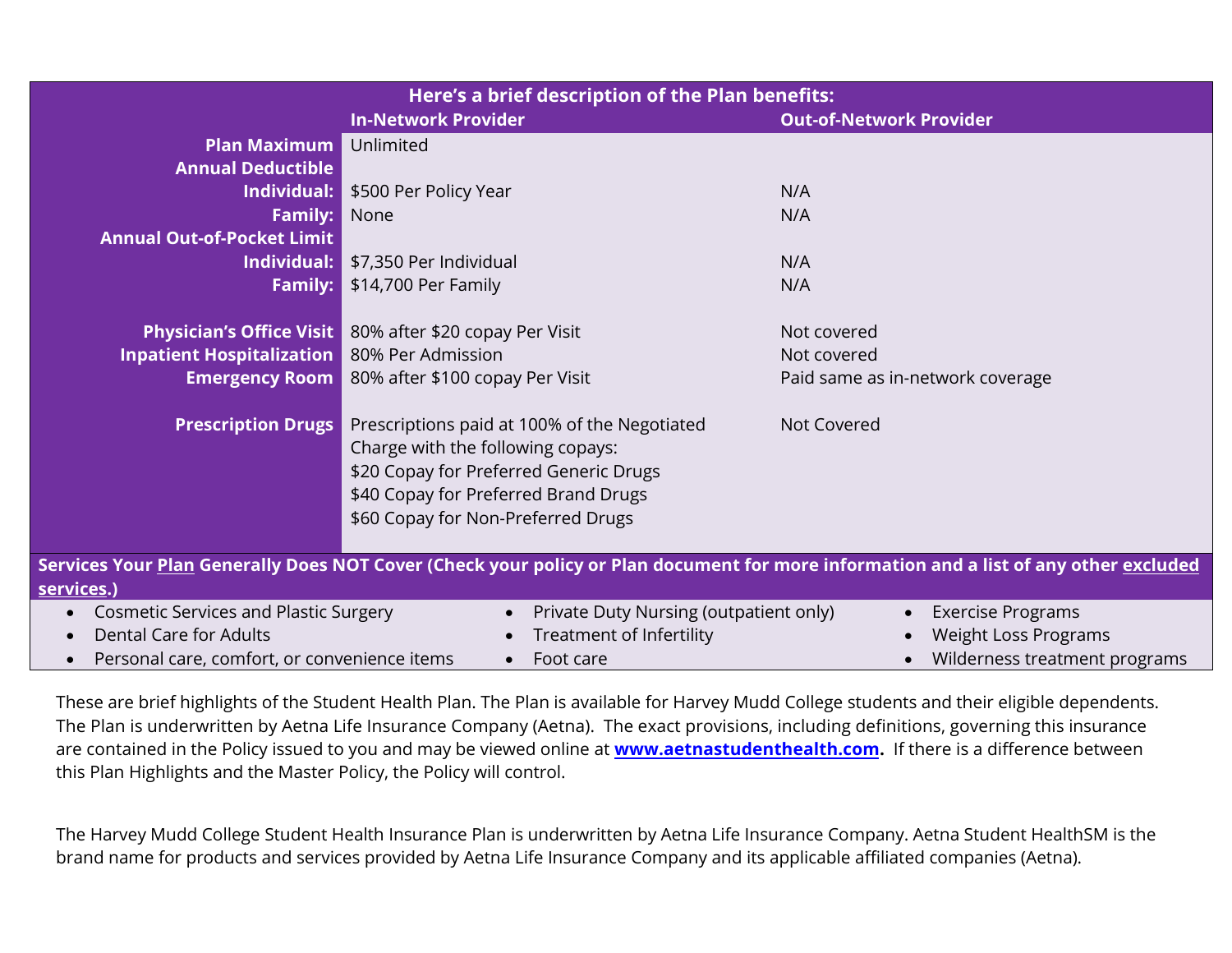| Here's a brief description of the Plan benefits:                                                                                                    |                                              |                                                         |  |  |  |  |
|-----------------------------------------------------------------------------------------------------------------------------------------------------|----------------------------------------------|---------------------------------------------------------|--|--|--|--|
|                                                                                                                                                     | <b>In-Network Provider</b>                   | <b>Out-of-Network Provider</b>                          |  |  |  |  |
| Plan Maximum                                                                                                                                        | Unlimited                                    |                                                         |  |  |  |  |
| <b>Annual Deductible</b>                                                                                                                            |                                              |                                                         |  |  |  |  |
| Individual:                                                                                                                                         | \$500 Per Policy Year                        | N/A                                                     |  |  |  |  |
| <b>Family:</b>                                                                                                                                      | None                                         | N/A                                                     |  |  |  |  |
| <b>Annual Out-of-Pocket Limit</b>                                                                                                                   |                                              |                                                         |  |  |  |  |
| Individual:                                                                                                                                         | \$7,350 Per Individual                       | N/A                                                     |  |  |  |  |
| <b>Family:</b>                                                                                                                                      | \$14,700 Per Family                          | N/A                                                     |  |  |  |  |
|                                                                                                                                                     |                                              |                                                         |  |  |  |  |
| <b>Physician's Office Visit</b>                                                                                                                     | 80% after \$20 copay Per Visit               | Not covered                                             |  |  |  |  |
| <b>Inpatient Hospitalization</b>                                                                                                                    | 80% Per Admission                            | Not covered                                             |  |  |  |  |
| <b>Emergency Room</b>                                                                                                                               | 80% after \$100 copay Per Visit              | Paid same as in-network coverage                        |  |  |  |  |
|                                                                                                                                                     |                                              |                                                         |  |  |  |  |
| <b>Prescription Drugs</b>                                                                                                                           | Prescriptions paid at 100% of the Negotiated | Not Covered                                             |  |  |  |  |
|                                                                                                                                                     | Charge with the following copays:            |                                                         |  |  |  |  |
|                                                                                                                                                     | \$20 Copay for Preferred Generic Drugs       |                                                         |  |  |  |  |
|                                                                                                                                                     | \$40 Copay for Preferred Brand Drugs         |                                                         |  |  |  |  |
|                                                                                                                                                     | \$60 Copay for Non-Preferred Drugs           |                                                         |  |  |  |  |
| Services Your <u>Plan</u> Generally Does NOT Cover (Check your policy or Plan document for more information and a list of any other <u>excluded</u> |                                              |                                                         |  |  |  |  |
|                                                                                                                                                     |                                              |                                                         |  |  |  |  |
| services.)<br><b>Cosmetic Services and Plastic Surgery</b><br>Private Duty Nursing (outpatient only)                                                |                                              |                                                         |  |  |  |  |
| <b>Dental Care for Adults</b>                                                                                                                       | Treatment of Infertility                     | <b>Exercise Programs</b><br><b>Weight Loss Programs</b> |  |  |  |  |
|                                                                                                                                                     | Foot care                                    |                                                         |  |  |  |  |
| Personal care, comfort, or convenience items<br>Wilderness treatment programs<br>$\bullet$                                                          |                                              |                                                         |  |  |  |  |

These are brief highlights of the Student Health Plan. The Plan is available for Harvey Mudd College students and their eligible dependents. The Plan is underwritten by Aetna Life Insurance Company (Aetna). The exact provisions, including definitions, governing this insurance are contained in the Policy issued to you and may be viewed online at **[www.aetnastudenthealth.com.](http://www.aetnastudenthealth.com/)** If there is a difference between this Plan Highlights and the Master Policy, the Policy will control.

The Harvey Mudd College Student Health Insurance Plan is underwritten by Aetna Life Insurance Company. Aetna Student HealthSM is the brand name for products and services provided by Aetna Life Insurance Company and its applicable affiliated companies (Aetna).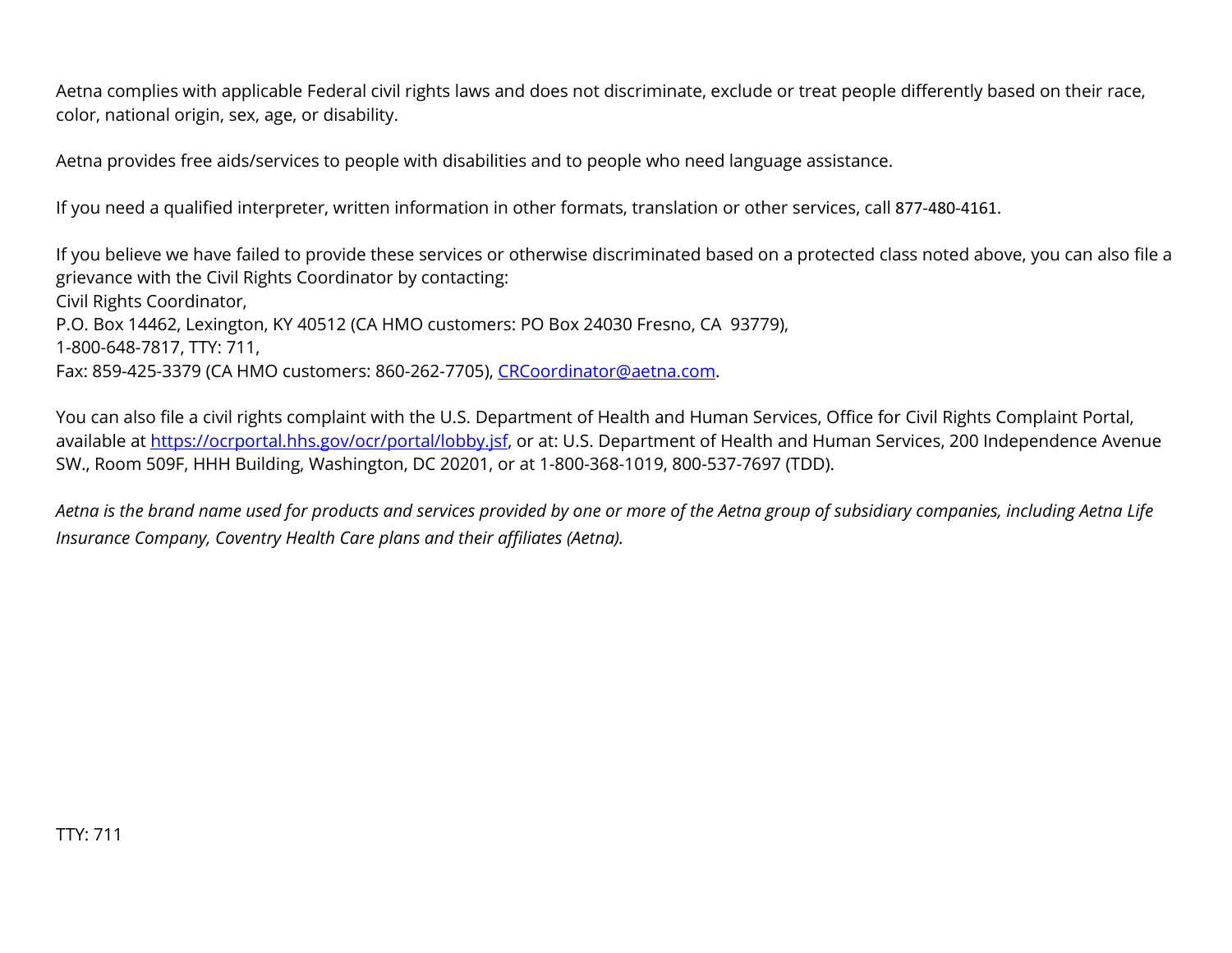Aetna complies with applicable Federal civil rights laws and does not discriminate, exclude or treat people differently based on their race, color, national origin, sex, age, or disability.

Aetna provides free aids/services to people with disabilities and to people who need language assistance.

If you need a qualified interpreter, written information in other formats, translation or other services, call 877-480-4161.

If you believe we have failed to provide these services or otherwise discriminated based on a protected class noted above, you can also file a grievance with the Civil Rights Coordinator by contacting: Civil Rights Coordinator, P.O. Box 14462, Lexington, KY 40512 (CA HMO customers: PO Box 24030 Fresno, CA 93779), 1-800-648-7817, TTY: 711, Fax: 859-425-3379 (CA HMO customers: 860-262-7705), [CRCoordinator@aetna.com.](mailto:CRCoordinator@aetna.com)

You can also file a civil rights complaint with the U.S. Department of Health and Human Services, Office for Civil Rights Complaint Portal, available at [https://ocrportal.hhs.gov/ocr/portal/lobby.jsf,](https://ocrportal.hhs.gov/ocr/portal/lobby.jsf) or at: U.S. Department of Health and Human Services, 200 Independence Avenue SW., Room 509F, HHH Building, Washington, DC 20201, or at 1-800-368-1019, 800-537-7697 (TDD).

*Aetna is the brand name used for products and services provided by one or more of the Aetna group of subsidiary companies, including Aetna Life Insurance Company, Coventry Health Care plans and their affiliates (Aetna).*